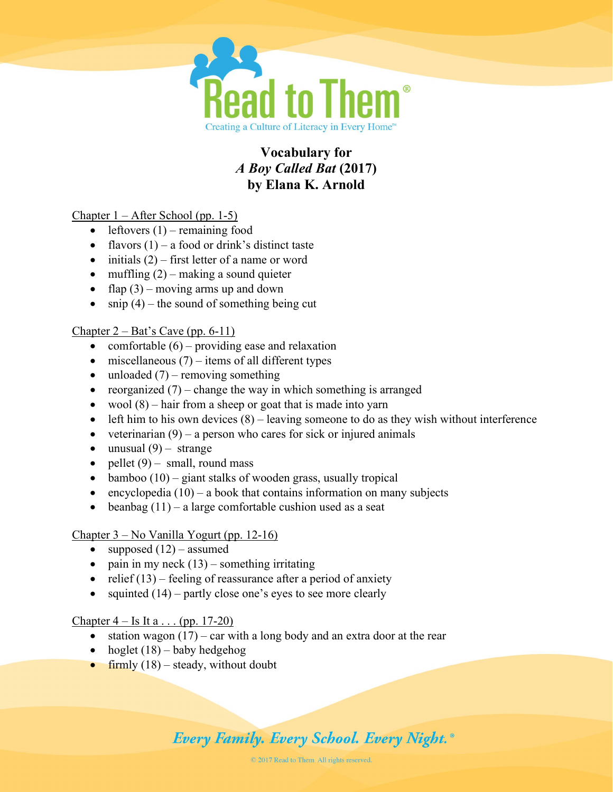

# Vocabulary for A Boy Called Bat (2017) by Elana K. Arnold

Chapter 1 – After School (pp. 1-5)

- $\bullet$  leftovers (1) remaining food
- flavors  $(1)$  a food or drink's distinct taste
- $\bullet$  initials (2) first letter of a name or word
- $\bullet$  muffling (2) making a sound quieter
- flap  $(3)$  moving arms up and down
- $\bullet$  snip (4) the sound of something being cut

Chapter  $2 - Bat's$  Cave (pp. 6-11)

- comfortable  $(6)$  providing ease and relaxation
- $\bullet$  miscellaneous (7) items of all different types
- $\bullet$  unloaded (7) removing something
- reorganized  $(7)$  change the way in which something is arranged
- wool  $(8)$  hair from a sheep or goat that is made into yarn
- $\bullet$  left him to his own devices  $(8)$  leaving someone to do as they wish without interference
- veterinarian  $(9)$  a person who cares for sick or injured animals
- $\bullet$  unusual (9) strange
- pellet  $(9)$  small, round mass
- $\bullet$  bamboo (10) giant stalks of wooden grass, usually tropical
- encyclopedia  $(10)$  a book that contains information on many subjects
- beanbag  $(11)$  a large comfortable cushion used as a seat

# Chapter 3 – No Vanilla Yogurt (pp. 12-16)

- supposed  $(12)$  assumed
- pain in my neck  $(13)$  something irritating
- relief  $(13)$  feeling of reassurance after a period of anxiety
- squinted  $(14)$  partly close one's eyes to see more clearly

### Chapter  $4 -$  Is It a . . . (pp. 17-20)

- station wagon  $(17)$  car with a long body and an extra door at the rear
- hoglet  $(18)$  baby hedgehog
- firmly  $(18)$  steady, without doubt

# **Every Family. Every School. Every Night.**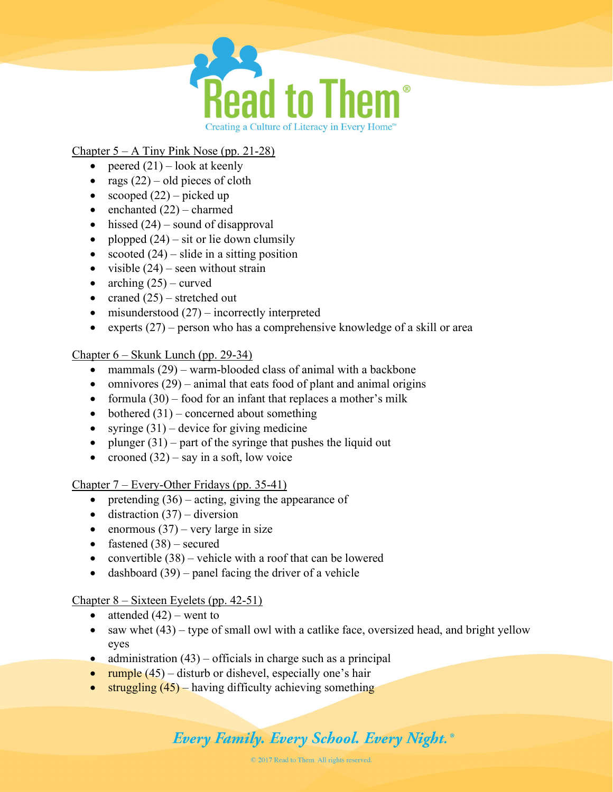

# Chapter  $5 - A$  Tiny Pink Nose (pp. 21-28)

- peered  $(21)$  look at keenly
- rags  $(22)$  old pieces of cloth
- scooped  $(22)$  picked up
- $\bullet$  enchanted  $(22)$  charmed
- $\bullet$  hissed (24) sound of disapproval
- plopped  $(24)$  sit or lie down clumsily
- scooted  $(24)$  slide in a sitting position
- visible  $(24)$  seen without strain
- arching  $(25)$  curved
- craned  $(25)$  stretched out
- $\bullet$  misunderstood (27) incorrectly interpreted
- experts  $(27)$  person who has a comprehensive knowledge of a skill or area

### Chapter 6 – Skunk Lunch (pp. 29-34)

- mammals (29) warm-blooded class of animal with a backbone
- omnivores  $(29)$  animal that eats food of plant and animal origins
- formula  $(30)$  food for an infant that replaces a mother's milk
- bothered  $(31)$  concerned about something
- syringe  $(31)$  device for giving medicine
- plunger  $(31)$  part of the syringe that pushes the liquid out
- crooned  $(32)$  say in a soft, low voice

Chapter 7 – Every-Other Fridays (pp. 35-41)

- pretending  $(36)$  acting, giving the appearance of
- $\bullet$  distraction (37) diversion
- enormous  $(37)$  very large in size
- fastened  $(38)$  secured
- convertible  $(38)$  vehicle with a roof that can be lowered
- dashboard  $(39)$  panel facing the driver of a vehicle

# Chapter 8 – Sixteen Eyelets (pp. 42-51)

- attended  $(42)$  went to
- $\bullet$  saw whet (43) type of small owl with a catlike face, oversized head, and bright yellow eyes
- administration  $(43)$  officials in charge such as a principal
- rumple  $(45)$  disturb or dishevel, especially one's hair
- struggling  $(45)$  having difficulty achieving something

# **Every Family. Every School. Every Night.**<sup>®</sup>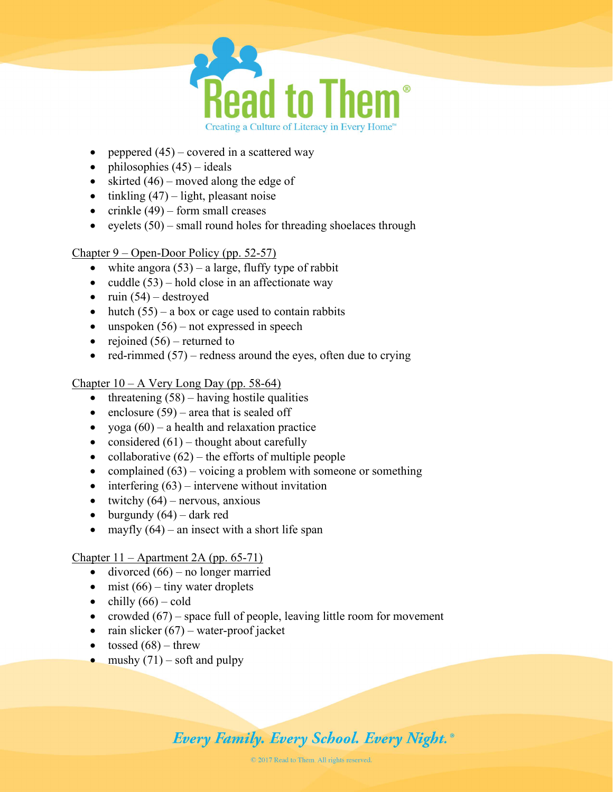

- peppered  $(45)$  covered in a scattered way
- philosophies  $(45)$  ideals
- skirted  $(46)$  moved along the edge of
- $\bullet$  tinkling (47) light, pleasant noise
- crinkle  $(49)$  form small creases
- eyelets  $(50)$  small round holes for threading shoelaces through

Chapter 9 – Open-Door Policy (pp. 52-57)

- white angora  $(53)$  a large, fluffy type of rabbit
- cuddle  $(53)$  hold close in an affectionate way
- $\bullet$  ruin (54) destroyed
- hutch  $(55)$  a box or cage used to contain rabbits
- $\bullet$  unspoken (56) not expressed in speech
- rejoined  $(56)$  returned to
- red-rimmed  $(57)$  redness around the eyes, often due to crying

Chapter  $10 - A$  Very Long Day (pp. 58-64)

- $\bullet$  threatening (58) having hostile qualities
- enclosure  $(59)$  area that is sealed off
- yoga  $(60)$  a health and relaxation practice
- considered  $(61)$  thought about carefully
- collaborative  $(62)$  the efforts of multiple people
- complained  $(63)$  voicing a problem with someone or something
- $\bullet$  interfering (63) intervene without invitation
- twitchy  $(64)$  nervous, anxious
- $\bullet$  burgundy  $(64)$  dark red
- mayfly  $(64)$  an insect with a short life span

### Chapter 11 – Apartment 2A (pp. 65-71)

- $\bullet$  divorced (66) no longer married
- $\bullet$  mist (66) tiny water droplets
- $\bullet$  chilly  $(66)$  cold
- crowded  $(67)$  space full of people, leaving little room for movement
- rain slicker  $(67)$  water-proof jacket
- tossed  $(68)$  threw
- mushy  $(71)$  soft and pulpy

# **Every Family. Every School. Every Night.**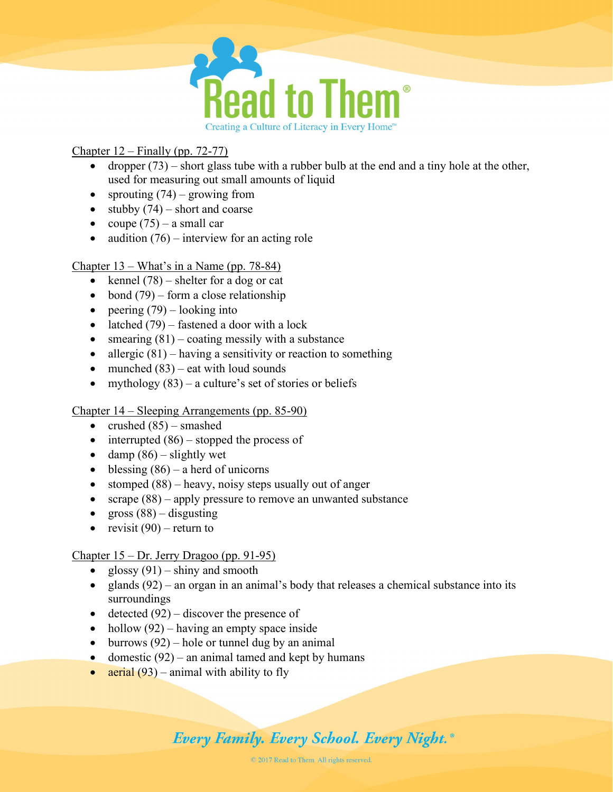

# Chapter 12 – Finally (pp. 72-77)

- dropper  $(73)$  short glass tube with a rubber bulb at the end and a tiny hole at the other, used for measuring out small amounts of liquid
- sprouting  $(74)$  growing from
- stubby  $(74)$  short and coarse
- coupe  $(75)$  a small car
- audition  $(76)$  interview for an acting role

### Chapter 13 – What's in a Name (pp. 78-84)

- kennel  $(78)$  shelter for a dog or cat
- bond  $(79)$  form a close relationship
- peering  $(79)$  looking into
- latched  $(79)$  fastened a door with a lock
- smearing  $(81)$  coating messily with a substance
- allergic  $(81)$  having a sensitivity or reaction to something
- munched  $(83)$  eat with loud sounds
- mythology  $(83)$  a culture's set of stories or beliefs

### Chapter 14 – Sleeping Arrangements (pp. 85-90)

- crushed  $(85)$  smashed
- $\bullet$  interrupted (86) stopped the process of
- damp  $(86)$  slightly wet
- $\bullet$  blessing (86) a herd of unicorns
- stomped  $(88)$  heavy, noisy steps usually out of anger
- scrape  $(88)$  apply pressure to remove an unwanted substance
- gross  $(88)$  disgusting
- revisit  $(90)$  return to

### Chapter 15 – Dr. Jerry Dragoo (pp. 91-95)

- glossy  $(91)$  shiny and smooth
- e glands  $(92)$  an organ in an animal's body that releases a chemical substance into its surroundings
- detected  $(92)$  discover the presence of
- hollow  $(92)$  having an empty space inside
- $\bullet$  burrows (92) hole or tunnel dug by an animal
- domestic  $(92)$  an animal tamed and kept by humans
- aerial  $(93)$  animal with ability to fly

# **Every Family. Every School. Every Night.**<sup>®</sup>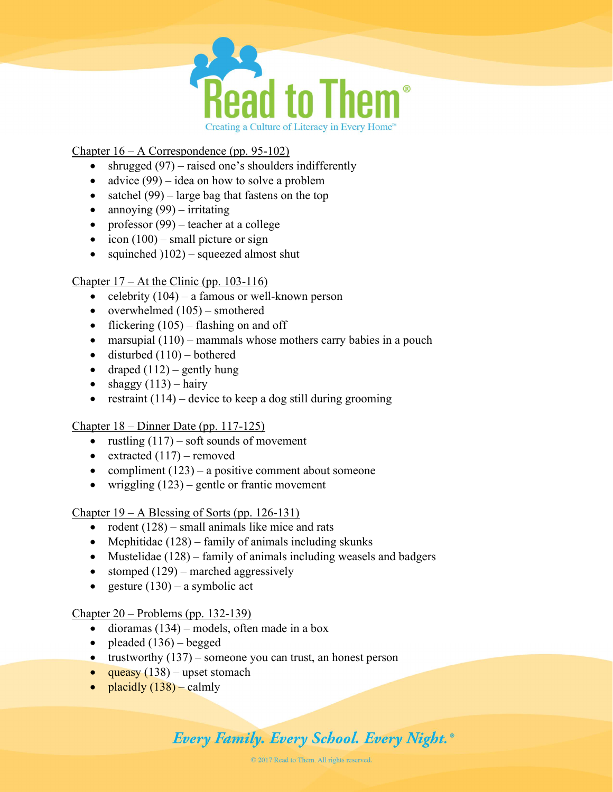

### Chapter 16 – A Correspondence (pp. 95-102)

- shrugged  $(97)$  raised one's shoulders indifferently
- advice  $(99)$  idea on how to solve a problem
- satchel  $(99)$  large bag that fastens on the top
- annoying  $(99)$  irritating
- professor  $(99)$  teacher at a college
- $\bullet$  icon (100) small picture or sign
- squinched  $(102)$  squeezed almost shut

### Chapter  $17 - At$  the Clinic (pp. 103-116)

- celebrity  $(104)$  a famous or well-known person
- overwhelmed  $(105)$  smothered
- flickering  $(105)$  flashing on and off
- $\bullet$  marsupial (110) mammals whose mothers carry babies in a pouch
- $\bullet$  disturbed  $(110)$  bothered
- draped  $(112)$  gently hung
- $\bullet$  shaggy (113) hairy
- restraint  $(114)$  device to keep a dog still during grooming

# Chapter 18 – Dinner Date (pp. 117-125)

- rustling  $(117)$  soft sounds of movement
- extracted  $(117)$  removed
- compliment  $(123)$  a positive comment about someone
- wriggling  $(123)$  gentle or frantic movement

### Chapter 19 – A Blessing of Sorts (pp. 126-131)

- rodent  $(128)$  small animals like mice and rats
- Mephitidae  $(128)$  family of animals including skunks
- Mustelidae  $(128)$  family of animals including weasels and badgers
- stomped  $(129)$  marched aggressively
- e gesture  $(130)$  a symbolic act

### Chapter 20 – Problems (pp. 132-139)

- $\bullet$  dioramas (134) models, often made in a box
- pleaded  $(136)$  begged
- trustworthy  $(137)$  someone you can trust, an honest person
- queasy  $(138)$  upset stomach
- placidly  $(138)$  calmly

# **Every Family. Every School. Every Night.**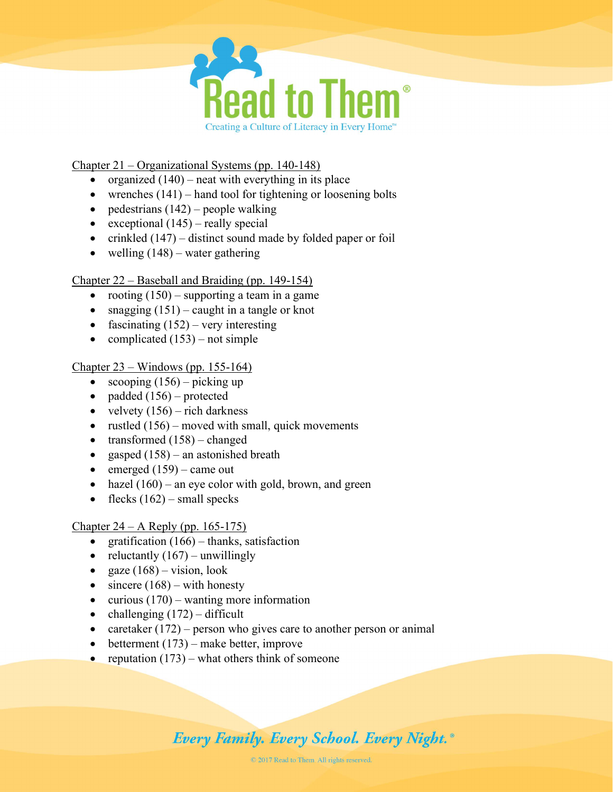

### Chapter 21 – Organizational Systems (pp. 140-148)

- organized  $(140)$  neat with everything in its place
- wrenches  $(141)$  hand tool for tightening or loosening bolts
- pedestrians  $(142)$  people walking
- exceptional  $(145)$  really special
- crinkled  $(147)$  distinct sound made by folded paper or foil
- welling  $(148)$  water gathering

### Chapter 22 – Baseball and Braiding (pp. 149-154)

- rooting  $(150)$  supporting a team in a game
- snagging  $(151)$  caught in a tangle or knot
- fascinating  $(152)$  very interesting
- complicated  $(153)$  not simple

# Chapter 23 – Windows (pp. 155-164)

- scooping  $(156)$  picking up
- padded  $(156)$  protected
- velvety  $(156)$  rich darkness
- rustled  $(156)$  moved with small, quick movements
- transformed  $(158)$  changed
- gasped  $(158)$  an astonished breath
- $\bullet$  emerged (159) came out
- hazel  $(160)$  an eye color with gold, brown, and green
- flecks  $(162)$  small specks

# Chapter 24 – A Reply (pp. 165-175)

- gratification  $(166)$  thanks, satisfaction
- reluctantly  $(167)$  unwillingly
- gaze  $(168)$  vision, look
- $\bullet$  sincere (168) with honesty
- curious  $(170)$  wanting more information
- challenging  $(172)$  difficult
- caretaker  $(172)$  person who gives care to another person or animal
- $\bullet$  betterment (173) make better, improve
- reputation  $(173)$  what others think of someone

# **Every Family. Every School. Every Night.**